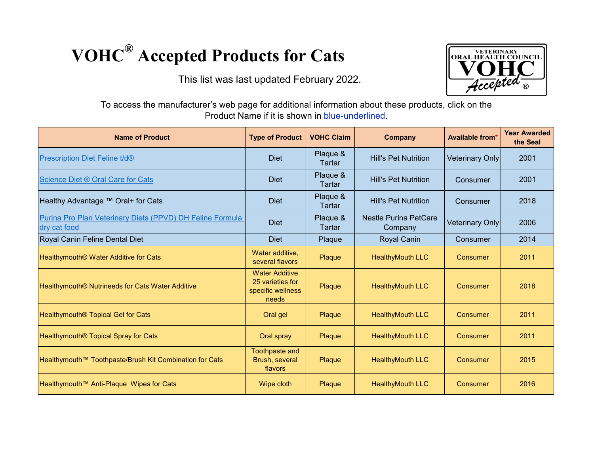## **VOHC® Accepted Products for Cats**

This list was last updated February 2022.



To access the manufacturer's web page for additional information about these products, click on the Product Name if it is shown in blue-underlined.

| <b>Name of Product</b>                                                    | <b>Type of Product</b>                                                  | <b>VOHC Claim</b>  | <b>Company</b>                          | <b>Available from*</b> | <b>Year Awarded</b><br>the Seal |
|---------------------------------------------------------------------------|-------------------------------------------------------------------------|--------------------|-----------------------------------------|------------------------|---------------------------------|
| Prescription Diet Feline t/d®                                             | <b>Diet</b>                                                             | Plaque &<br>Tartar | <b>Hill's Pet Nutrition</b>             | <b>Veterinary Only</b> | 2001                            |
| Science Diet ® Oral Care for Cats                                         | <b>Diet</b>                                                             | Plaque &<br>Tartar | <b>Hill's Pet Nutrition</b>             | Consumer               | 2001                            |
| Healthy Advantage ™ Oral+ for Cats                                        | <b>Diet</b>                                                             | Plaque &<br>Tartar | <b>Hill's Pet Nutrition</b>             | Consumer               | 2018                            |
| Purina Pro Plan Veterinary Diets (PPVD) DH Feline Formula<br>dry cat food | <b>Diet</b>                                                             | Plaque &<br>Tartar | <b>Nestle Purina PetCare</b><br>Company | <b>Veterinary Only</b> | 2006                            |
| Royal Canin Feline Dental Diet                                            | <b>Diet</b>                                                             | Plaque             | <b>Royal Canin</b>                      | Consumer               | 2014                            |
| Healthymouth <sup>®</sup> Water Additive for Cats                         | Water additive,<br>several flavors                                      | Plaque             | <b>HealthyMouth LLC</b>                 | Consumer               | 2011                            |
| Healthymouth <sup>®</sup> Nutrineeds for Cats Water Additive              | <b>Water Additive</b><br>25 varieties for<br>specific wellness<br>needs | Plaque             | <b>HealthyMouth LLC</b>                 | Consumer               | 2018                            |
| Healthymouth <sup>®</sup> Topical Gel for Cats                            | Oral gel                                                                | Plaque             | <b>HealthyMouth LLC</b>                 | <b>Consumer</b>        | 2011                            |
| Healthymouth <sup>®</sup> Topical Spray for Cats                          | Oral spray                                                              | Plaque             | <b>HealthyMouth LLC</b>                 | Consumer               | 2011                            |
| Healthymouth™ Toothpaste/Brush Kit Combination for Cats                   | <b>Toothpaste and</b><br>Brush, several<br>flavors                      | Plaque             | <b>HealthyMouth LLC</b>                 | <b>Consumer</b>        | 2015                            |
| Healthymouth™ Anti-Plaque Wipes for Cats                                  | Wipe cloth                                                              | Plaque             | <b>HealthyMouth LLC</b>                 | <b>Consumer</b>        | 2016                            |